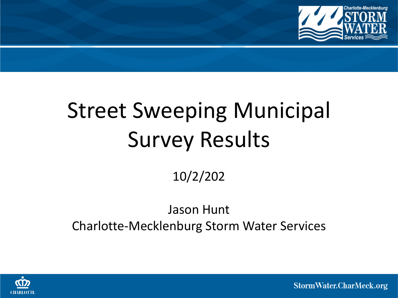

# Street Sweeping Municipal Survey Results

10/2/202

# Jason Hunt Charlotte-Mecklenburg Storm Water Services



StormWater.CharMeck.org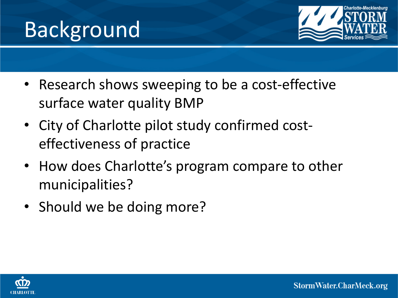



- Research shows sweeping to be a cost-effective surface water quality BMP
- City of Charlotte pilot study confirmed costeffectiveness of practice
- How does Charlotte's program compare to other municipalities?
- Should we be doing more?

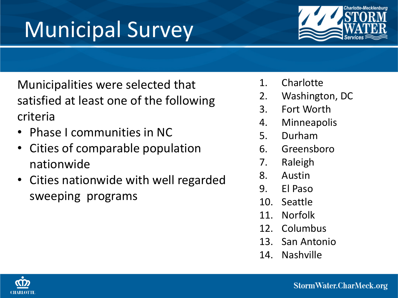

# Municipal Survey

Municipalities were selected that satisfied at least one of the following criteria

- Phase I communities in NC
- Cities of comparable population nationwide
- Cities nationwide with well regarded sweeping programs
- 1. Charlotte
- 2. Washington, DC
- 3. Fort Worth
- 4. Minneapolis
- 5. Durham
- 6. Greensboro
- 7. Raleigh
- 8. Austin
- 9. El Paso
- 10. Seattle
- 11. Norfolk
- 12. Columbus
- 13. San Antonio
- 14. Nashville

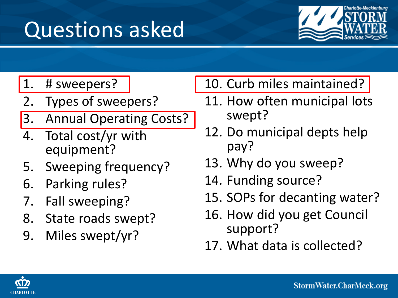# Questions asked



1. # sweepers?

- 2. Types of sweepers?
- 3. Annual Operating Costs?
- 4. Total cost/yr with equipment?
- 5. Sweeping frequency?
- 6. Parking rules?
- 7. Fall sweeping?
- 8. State roads swept?
- 9. Miles swept/yr?

10. Curb miles maintained?

- 11. How often municipal lots swept?
- 12. Do municipal depts help pay?
- 13. Why do you sweep?
- 14. Funding source?
- 15. SOPs for decanting water?
- 16. How did you get Council support?
- 17. What data is collected?

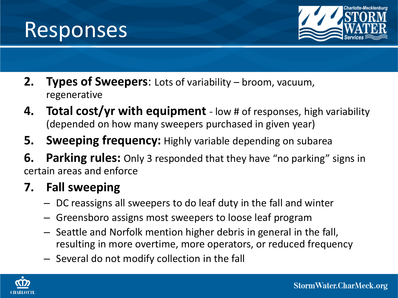



- **2. Types of Sweepers**: Lots of variability broom, vacuum, regenerative
- **4. Total cost/yr with equipment**  low # of responses, high variability (depended on how many sweepers purchased in given year)
- **5. Sweeping frequency:** Highly variable depending on subarea
- **6.** Parking rules: Only 3 responded that they have "no parking" signs in certain areas and enforce

# **7. Fall sweeping**

- DC reassigns all sweepers to do leaf duty in the fall and winter
- Greensboro assigns most sweepers to loose leaf program
- Seattle and Norfolk mention higher debris in general in the fall, resulting in more overtime, more operators, or reduced frequency
- Several do not modify collection in the fall

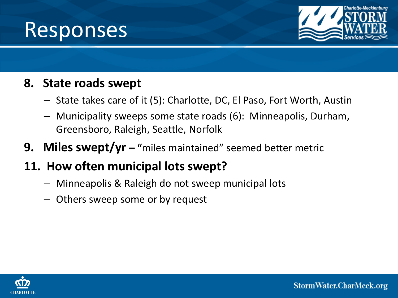



#### **8. State roads swept**

- State takes care of it (5): Charlotte, DC, El Paso, Fort Worth, Austin
- Municipality sweeps some state roads (6): Minneapolis, Durham, Greensboro, Raleigh, Seattle, Norfolk
- **9. Miles swept/yr – "**miles maintained" seemed better metric

# **11. How often municipal lots swept?**

- Minneapolis & Raleigh do not sweep municipal lots
- Others sweep some or by request

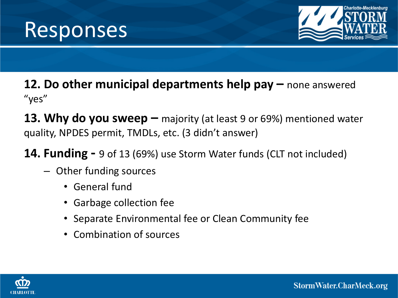



#### **12. Do other municipal departments help pay –** none answered "yes"

**13. Why do you sweep –** majority (at least 9 or 69%) mentioned water quality, NPDES permit, TMDLs, etc. (3 didn't answer)

**14. Funding -** 9 of 13 (69%) use Storm Water funds (CLT not included)

- Other funding sources
	- General fund
	- Garbage collection fee
	- Separate Environmental fee or Clean Community fee
	- Combination of sources

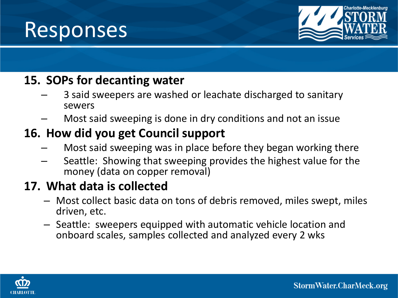



#### **15. SOPs for decanting water**

- 3 said sweepers are washed or leachate discharged to sanitary sewers
- Most said sweeping is done in dry conditions and not an issue

## **16. How did you get Council support**

- Most said sweeping was in place before they began working there
- Seattle: Showing that sweeping provides the highest value for the money (data on copper removal)

## **17. What data is collected**

- Most collect basic data on tons of debris removed, miles swept, miles driven, etc.
- Seattle: sweepers equipped with automatic vehicle location and onboard scales, samples collected and analyzed every 2 wks

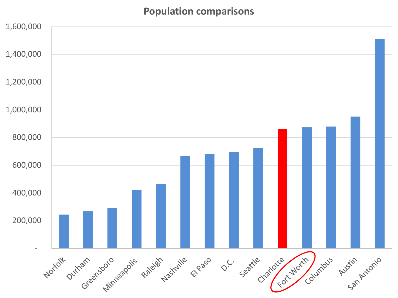#### **Population comparisons**

| 1,600,000 |                                                                                                           |  |
|-----------|-----------------------------------------------------------------------------------------------------------|--|
| 1,400,000 |                                                                                                           |  |
| 1,200,000 |                                                                                                           |  |
| 1,000,000 |                                                                                                           |  |
| 800,000   |                                                                                                           |  |
| 600,000   |                                                                                                           |  |
| 400,000   |                                                                                                           |  |
| 200,000   |                                                                                                           |  |
|           | Seattle charlotte Worth Junious Austin Antonio<br>Norfolk Jurham Greensboro Raleigh Nashrille Elpaso O.C. |  |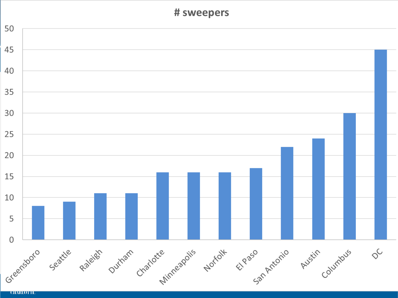#### # sweepers



**UIMKLUTT**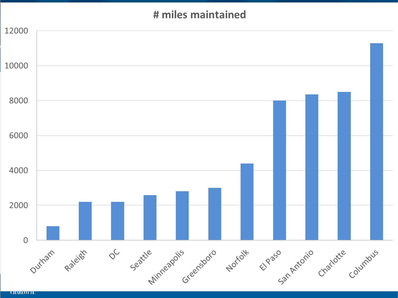#### # miles maintained

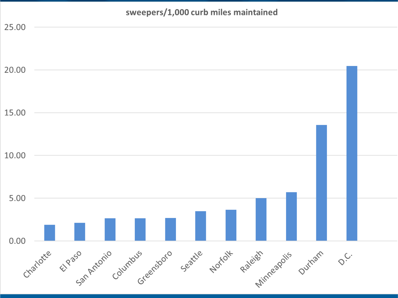# sweepers/1,000 curb miles maintained 25.00 20.00 15.00 10.00 5.00  $0.00$ charlotte Elphantonio columbus seatue Nortolis paleies outhain  $Q_{C}$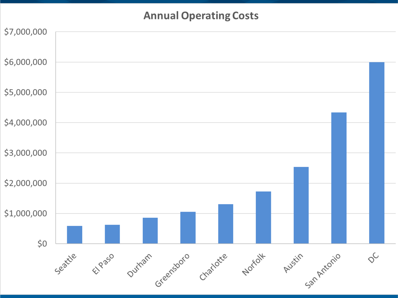#### **Annual Operating Costs**

| \$7,000,000 |         |        |                             |  |         |                |                |  |
|-------------|---------|--------|-----------------------------|--|---------|----------------|----------------|--|
| \$6,000,000 |         |        |                             |  |         |                |                |  |
| \$5,000,000 |         |        |                             |  |         |                |                |  |
| \$4,000,000 |         |        |                             |  |         |                |                |  |
| \$3,000,000 |         |        |                             |  |         |                |                |  |
| \$2,000,000 |         |        |                             |  |         |                |                |  |
| \$1,000,000 |         |        |                             |  |         |                |                |  |
| $$0$$       |         |        |                             |  |         |                |                |  |
|             | Seattle | Elpaso | Ourham Greensboro Charlotte |  | Norfolk | Austin Antonio | $\diamondsuit$ |  |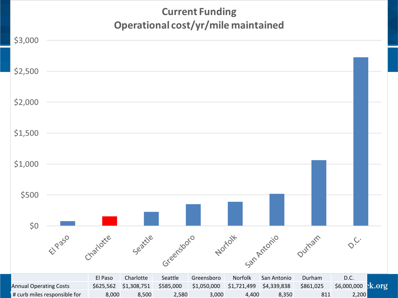#### **Current Funding** Operational cost/yr/mile maintained

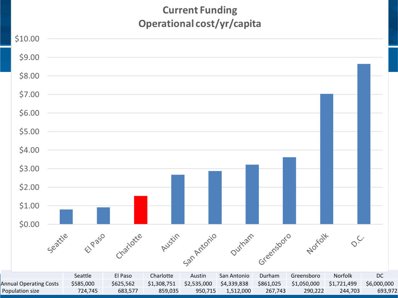#### **Current Funding** Operational cost/yr/capita

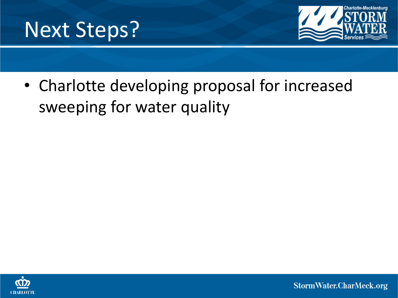



• Charlotte developing proposal for increased sweeping for water quality



StormWater.CharMeck.org